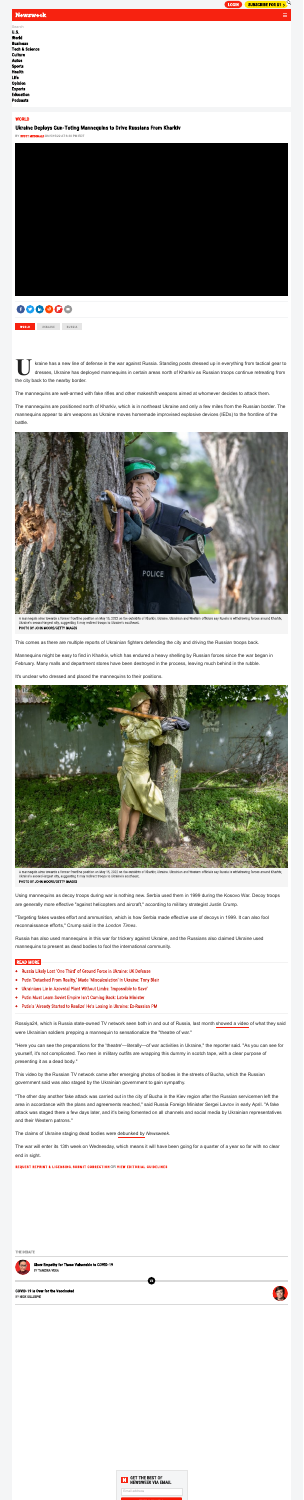

# **Newsweek**



kraine has a new line of defense in the war against Russia. Standing posts dressed up in everything from tactical gear to dresses, Ukraine has deployed mannequins in certain areas north of Kharkiv as Russian troops continue retreating from

**U** the city back to the nearby border.

The mannequins are well-armed with fake rifles and other makeshift weapons aimed at whomever decides to attack them.

The mannequins are positioned north of Kharkiv, which is in northeast Ukraine and only a few miles from the Russian border. The mannequins appear to aim weapons as Ukraine moves homemade improvised explosive devices (IEDs) to the frontline of the battle.



A mannequin aims towards a former frontline position on May 15, 2022 on the outskirts of Kharkiv, Ukraine. Ukrainian and Western officials say Russia is withdrawing forces around Kharkiv, Ukraine's second-largest city, suggesting it may redirect troops to Ukraine's southeast. PHOTO BY JOHN MOORE/GETTY IMAGES

This comes as there are multiple reports of Ukrainian fighters defending the city and driving the Russian troops back.

Mannequins might be easy to find in Kharkiv, which has endured a heavy shelling by Russian forces since the war began in February. Many malls and department stores have been destroyed in the process, leaving much behind in the rubble.

It's unclear who dressed and placed the mannequins to their positions.



A mannequin aims towards a former frontline position on May 15, 2022 on the outskirts of Kharkiv, Ukraine. Ukrainian and Western officials say Russia is withdrawing forces around Kharkiv, Ukraine's second-largest city, suggesting it may redirect troops to Ukraine's southeast. PHOTO BY JOHN MOORE/GETTY IMAGES

Using mannequins as decoy troops during war is nothing new. Serbia used them in 1999 during the Kosovo War. Decoy troops are generally more effective "against helicopters and aircraft, " according to military strategist Justin Crump.

"Targeting fakes wastes effort and ammunition, which is how Serbia made effective use of decoys in 1999. It can also fool reconnaissance efforts, " Crump said in the *London Times*.

Russia has also used mannequins in this war for trickery against Ukraine, and the Russians also claimed Ukraine used mannequins to present as dead bodies to fool the international community.

### **READ MORE**

- Russia Likely Lost 'One Third' of Ground Force in Ukraine: UK Defense  $\bullet$
- Putin 'Detached From Reality,' Made 'Miscalculation' in Ukraine: Tony Blair  $\bullet$
- Ukrainians Lie in Azovstal Plant Without Limbs: 'Impossible to Save'  $\bullet$
- Putin Must Learn Soviet Empire Isn't Coming Back: Latvia Minister  $\bullet$
- Putin's 'Already Started to Realize' He's Losing in Ukraine: Ex-Russian PM  $\bullet$

Rossiya24, which is Russia state-owned TV network seen both in and out of Russia, last month [showed](https://www.newsweek.com/fact-check-did-russian-media-footage-prove-ukraine-faked-war-casualties-1696443) a video of what they said were Ukrainian soldiers prepping a mannequin to sensationalize the "theatre of war."

"Here you can see the preparations for the 'theatre'—literally—of war activities in Ukraine, " the reporter said. "As you can see for yourself, it's not complicated. Two men in military outfits are wrapping this dummy in scotch tape, with a clear purpose of presenting it as a dead body."

This video by the Russian TV network came after emerging photos of bodies in the streets of Bucha, which the Russian government said was also staged by the Ukrainian government to gain sympathy.

"The other day another fake attack was carried out in the city of Bucha in the Kiev region after the Russian servicemen left the area in accordance with the plans and agreements reached," said Russia Foreign Minister Sergei Lavrov in early April. "A fake attack was staged there a few days later, and it's being fomented on all channels and social media by Ukrainian representatives and their Western patrons."

The claims of Ukraine staging dead bodies were [debunked](https://www.newsweek.com/fact-check-russia-claims-massacre-bucha-staged-ukraine-1694804) by *Newsweek*.

The war will enter its 13th week on Wednesday, which means it will have been going for a quarter of a year so far with no clear end in sight.

**VS** 

REQUEST REPRINT & LICENSING[,](https://www.newsweek.com/contact) SUBMIT CORRECTION OR VIEW EDITORIAL GUIDELINES

#### **THE DEBATE**



**Show Empathy for Those Vulnerable to COVID-19 BY TANZINA VEGA** 

**COVID-19 Is Over for the Vaccinated BY NICK GILLESPIE** 



| Search                    |
|---------------------------|
| U.S.                      |
| World                     |
| <b>Business</b>           |
| <b>Tech &amp; Science</b> |
| Culture                   |
| Autos                     |
| <b>Sports</b>             |
| <b>Health</b>             |
| Life                      |
| <b>Opinion</b>            |
| <b>Experts</b>            |
| <b>Education</b>          |
| <b>Podcasts</b>           |

## **WORLD**

## **Ukraine Deploys Gun-Toting Mannequins to Drive Russians From Kharkiv**

BY SC[O](https://www.newsweek.com/authors/scott-mcdonald)TT MCDONALD ON 5/15/22 AT 6:30 PM EDT



**RUSSIA** WORLD UKRAINE